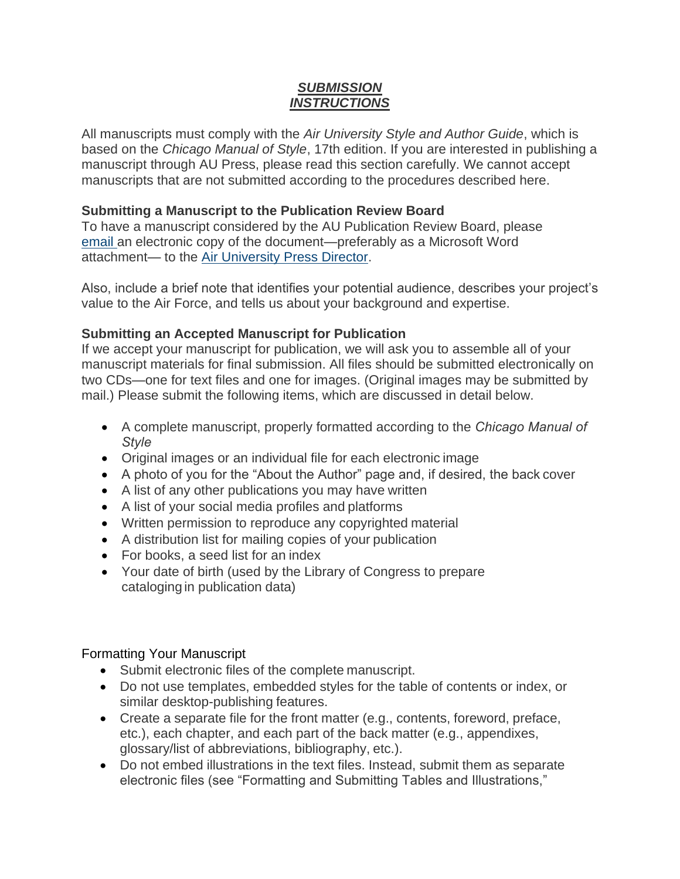#### *SUBMISSION INSTRUCTIONS*

All manuscripts must comply with the *Air University Style and Author Guide*, which is based on the *Chicago Manual of Style*, 17th edition. If you are interested in publishing a manuscript through AU Press, please read this section carefully. We cannot accept manuscripts that are not submitted according to the procedures described here.

#### **Submitting a Manuscript to the Publication Review Board**

To have a manuscript considered by the AU Publication Review Board, please [email](mailto:AirUniversityPress@au.af.edu) an electronic copy of the document—preferably as a Microsoft Word attachment— to the [Air University Press Director.](mailto:AirUniversityPress@au.af.edu)

Also, include a brief note that identifies your potential audience, describes your project's value to the Air Force, and tells us about your background and expertise.

#### **Submitting an Accepted Manuscript for Publication**

If we accept your manuscript for publication, we will ask you to assemble all of your manuscript materials for final submission. All files should be submitted electronically on two CDs—one for text files and one for images. (Original images may be submitted by mail.) Please submit the following items, which are discussed in detail below.

- A complete manuscript, properly formatted according to the *Chicago Manual of [Style](https://media.defense.gov/2017/Jun/12/2001761368/-1/-1/0/AU-1.PDF)*
- Original images or an individual file for each electronic image
- A photo of y[ou for the "About](file:///C:/Portals/10/AUPress/documents/general/figlog.pdf) the Author" page and, if desired, the back cover
- A list of any other publications you may have written
- A list of your social media profiles and platforms
- Written permission to reproduce any copyrighted material
- A distribution list for mailing copies of your publication
- For books, a seed list for an index
- Your date of birth (used by the Library of Congress to prepare cataloging in publication data)

Formatting Your Manuscript

- Submit electronic files of the complete manuscript.
- Do not use templates, embedded styles for the table of contents or index, or similar desktop-publishing features.
- Create a separate file for the front matter (e.g., contents, foreword, preface, etc.), each chapter, and each part of the back matter (e.g., appendixes, glossary/list of abbreviations, bibliography, etc.).
- Do not embed illustrations in the text files. Instead, submit them as separate electronic files (see "Formatting and Submitting Tables and Illustrations,"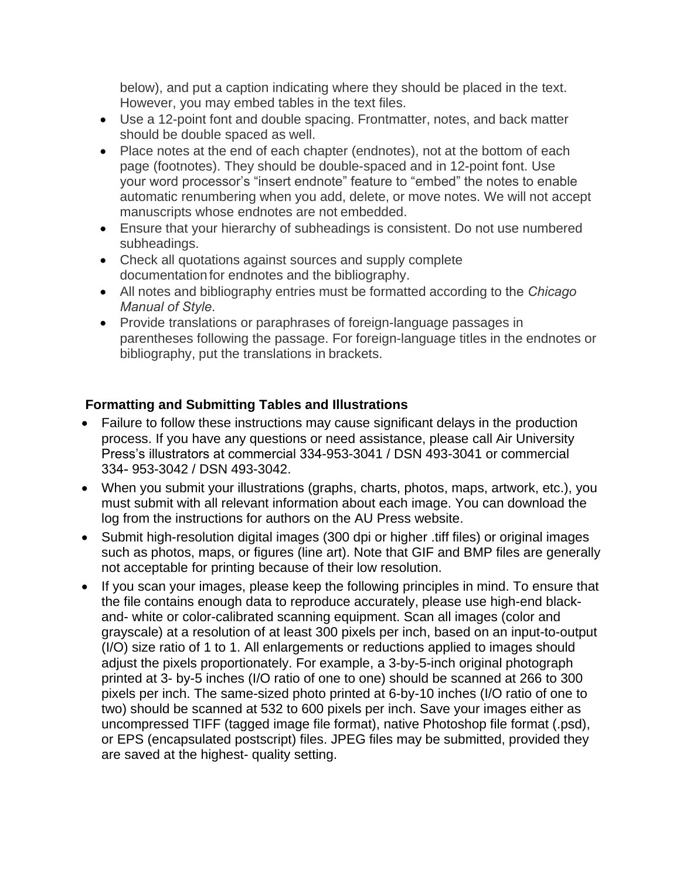below), and put a caption indicating where they should be placed in the text. However, you may embed tables in the text files.

- Use a 12-point font and double spacing. Frontmatter, notes, and back matter should be double spaced as well.
- Place notes at the end of each chapter (endnotes), not at the bottom of each page (footnotes). They should be double-spaced and in 12-point font. Use your word processor's "insert endnote" feature to "embed" the notes to enable automatic renumbering when you add, delete, or move notes. We will not accept manuscripts whose endnotes are not embedded.
- Ensure that your hierarchy of subheadings is consistent. Do not use numbered subheadings.
- Check all quotations against sources and supply complete documentation for endnotes and the bibliography.
- All notes and bibliography entries must be formatted according to the *Chicago Manual of Style*.
- Provide translations or paraphrases of foreign-language passages in parentheses following the passage. For foreign-language titles in the endnotes or bibliography, put the translations in brackets.

### **Formatting and Submitting Tables and Illustrations**

- Failure to follow these instructions may cause significant delays in the production process. If you have any questions or need assistance, please call Air University Press's illustrators at commercial 334-953-3041 / DSN 493-3041 or commercial 334- 953-3042 / DSN 493-3042.
- When you submit your illustrations (graphs, charts, photos, maps, artwork, etc.), you must submit with all relevant [information a](file:///C:/Portals/10/AUPress/documents/general/figlog.pdf)bout each image. You can download the log from the instructions for authors on the AU Press website.
- Submit high-resolution digital images (300 dpi or higher .tiff files) or original images such as photos, maps, or figures (line art). Note that GIF and BMP files are generally not acceptable for printing because of their low resolution.
- If you scan your images, please keep the following principles in mind. To ensure that the file contains enough data to reproduce accurately, please use high-end blackand- white or color-calibrated scanning equipment. Scan all images (color and grayscale) at a resolution of at least 300 pixels per inch, based on an input-to-output (I/O) size ratio of 1 to 1. All enlargements or reductions applied to images should adjust the pixels proportionately. For example, a 3-by-5-inch original photograph printed at 3- by-5 inches (I/O ratio of one to one) should be scanned at 266 to 300 pixels per inch. The same-sized photo printed at 6-by-10 inches (I/O ratio of one to two) should be scanned at 532 to 600 pixels per inch. Save your images either as uncompressed TIFF (tagged image file format), native Photoshop file format (.psd), or EPS (encapsulated postscript) files. JPEG files may be submitted, provided they are saved at the highest- quality setting.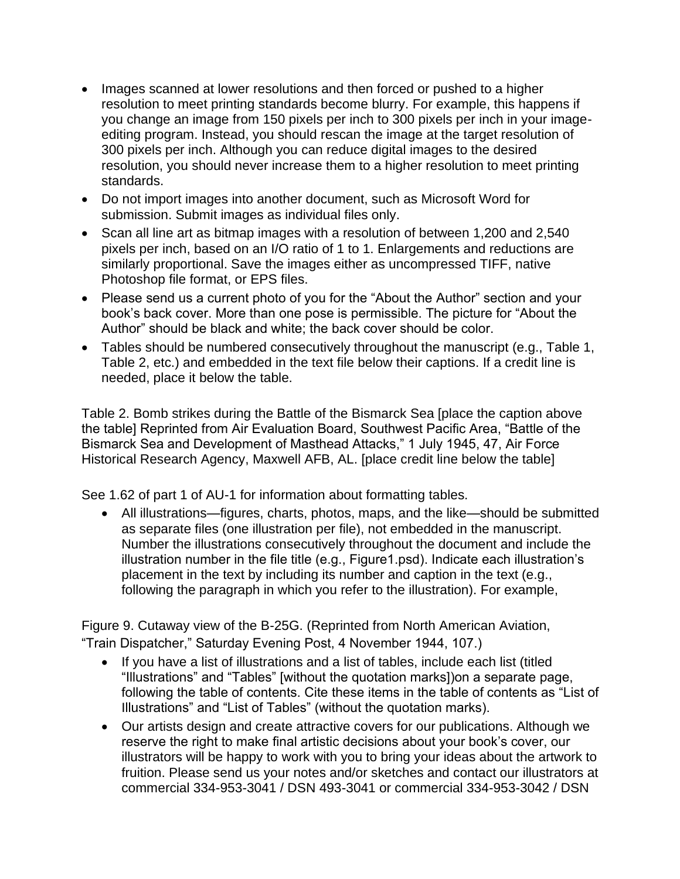- Images scanned at lower resolutions and then forced or pushed to a higher resolution to meet printing standards become blurry. For example, this happens if you change an image from 150 pixels per inch to 300 pixels per inch in your imageediting program. Instead, you should rescan the image at the target resolution of 300 pixels per inch. Although you can reduce digital images to the desired resolution, you should never increase them to a higher resolution to meet printing standards.
- Do not import images into another document, such as Microsoft Word for submission. Submit images as individual files only.
- Scan all line art as bitmap images with a resolution of between 1,200 and 2,540 pixels per inch, based on an I/O ratio of 1 to 1. Enlargements and reductions are similarly proportional. Save the images either as uncompressed TIFF, native Photoshop file format, or EPS files.
- Please send us a current photo of you for the "About the Author" section and your book's back cover. More than one pose is permissible. The picture for "About the Author" should be black and white; the back cover should be color.
- Tables should be numbered consecutively throughout the manuscript (e.g., Table 1, Table 2, etc.) and embedded in the text file below their captions. If a credit line is needed, place it below the table.

Table 2. Bomb strikes during the Battle of the Bismarck Sea [place the caption above the table] Reprinted from Air Evaluation Board, Southwest Pacific Area, "Battle of the Bismarck Sea and Development of Masthead Attacks," 1 July 1945, 47, Air Force Historical Research Agency, Maxwell AFB, AL. [place credit line below the table]

See 1.62 of part 1 of AU-1 for information about formatting tables.

• All illustrations—figures, charts, photos, maps, and the like—should be submitted as separate files (one illustration per file), not embedded in the manuscript. Number the illustrations consecutively throughout the document and include the illustration number in the file title (e.g., Figure1.psd). Indicate each illustration's placement in the text by including its number and caption in the text (e.g., following the paragraph in which you refer to the illustration). For example,

Figure 9. Cutaway view of the B-25G. (Reprinted from North American Aviation, "Train Dispatcher," Saturday Evening Post, 4 November 1944, 107.)

- If you have a list of illustrations and a list of tables, include each list (titled "Illustrations" and "Tables" [without the quotation marks])on a separate page, following the table of contents. Cite these items in the table of contents as "List of Illustrations" and "List of Tables" (without the quotation marks).
- Our artists design and create attractive covers for our publications. Although we reserve the right to make final artistic decisions about your book's cover, our illustrators will be happy to work with you to bring your ideas about the artwork to fruition. Please send us your notes and/or sketches and contact our illustrators at commercial 334-953-3041 / DSN 493-3041 or commercial 334-953-3042 / DSN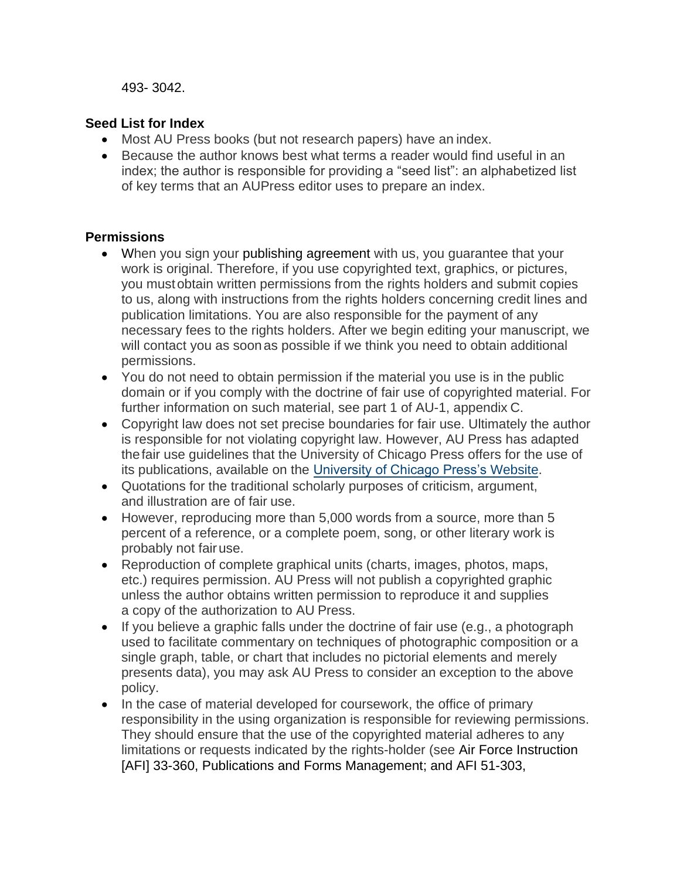493- 3042.

#### **Seed List for Index**

- Most AU Press books (but not research papers) have an index.
- Because the author knows best what terms a reader would find useful in an index; the author is responsible for providing a "seed list": an alphabetized list of key terms that an AUPress editor uses to prepare an index.

#### **Permissions**

- When you sign your publishing agreement with us, you guarantee that your work is original. Therefore, if you use copyrighted text, graphics, or pictures, you must obtain written permissions from the rights holders and submit copies to us, along with instructions from the rights holders concerning credit lines and publication limitations. You are also responsible for the payment of any necessary fees to the rights holders. After we begin editing your manuscript, we will contact you as soon as possible if we think you need to obtain additional permissions.
- You do not need to obtain permission if the material you use is in the public domain or if you comply with the doctrine of fair use of copyrighted material. For further information on such material, see part 1 of AU-1, appendix C.
- Copyright law does not set precise boundaries for fair use. Ultimately the author is responsible for not violating copyright law. However, AU Press has adapted the fair use guidelines that the University of Chicago Press offers for the use of its publications, available on the University [of Chicago Press's](http://press.uchicago.edu/infoServices/fairuse.html) Website.
- [Quotation](http://press.uchicago.edu/infoServices/fairuse.html)s for the traditional scholarly purposes of criticism, argument, and illustration are of fair use.
- However, reproducing more than 5,000 words from a source, more than 5 percent of a reference, or a complete poem, song, or other literary work is probably not fair use.
- Reproduction of complete graphical units (charts, images, photos, maps, etc.) requires permission. AU Press will not publish a copyrighted graphic unless the author obtains written permission to reproduce it and supplies a copy of the authorization to AU Press.
- If you believe a graphic falls under the doctrine of fair use (e.g., a photograph used to facilitate commentary on techniques of photographic composition or a single graph, table, or chart that includes no pictorial elements and merely presents data), you may ask AU Press to consider an exception to the above policy.
- In the case of material developed for coursework, the office of primary responsibility in the using organization is responsible for reviewing permissions. They should ensure that the use of the copyrighted material adheres to any limitations or requests indicated by the rights-holder (see Air Force Instruction [AFI] 33-360, Publications and Forms Management; and AFI 51-303,